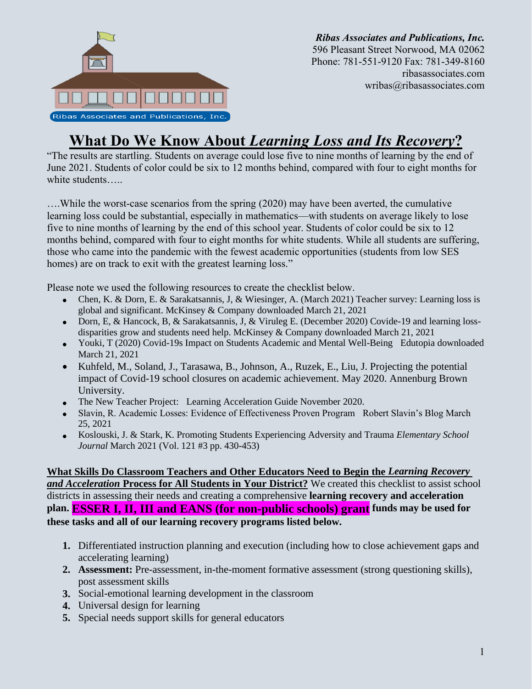

*Ribas Associates and Publications, Inc.* 596 Pleasant Street Norwood, MA 02062 Phone: 781-551-9120 Fax: 781-349-8160 ribasassociates.com wribas@ribasassociates.com

# **What Do We Know About** *Learning Loss and Its Recovery***?**

"The results are startling. Students on average could lose five to nine months of learning by the end of June 2021. Students of color could be six to 12 months behind, compared with four to eight months for white students…..

….While the worst-case scenarios from the spring (2020) may have been averted, the cumulative learning loss could be substantial, especially in mathematics—with students on average likely to lose five to nine months of learning by the end of this school year. Students of color could be six to 12 months behind, compared with four to eight months for white students. While all students are suffering, those who came into the pandemic with the fewest academic opportunities (students from low SES homes) are on track to exit with the greatest learning loss."

Please note we used the following resources to create the checklist below.

- Chen, K. & Dorn, E. & Sarakatsannis, J, & Wiesinger, A. (March 2021) Teacher survey: Learning loss is global and significant. McKinsey & Company downloaded March 21, 2021
- Dorn, E, & Hancock, B, & Sarakatsannis, J, & Viruleg E. (December 2020) Covide-19 and learning lossdisparities grow and students need help. McKinsey & Company downloaded March 21, 2021
- Youki, T (2020) Covid-19s Impact on Students Academic and Mental Well-Being Edutopia downloaded March 21, 2021
- Kuhfeld, M., Soland, J., Tarasawa, B., Johnson, A., Ruzek, E., Liu, J. Projecting the potential impact of Covid-19 school closures on academic achievement. May 2020. Annenburg Brown University.
- The New Teacher Project: Learning Acceleration Guide November 2020.
- Slavin, R. Academic Losses: Evidence of Effectiveness Proven Program Robert Slavin's Blog March 25, 2021
- Koslouski, J. & Stark, K. Promoting Students Experiencing Adversity and Trauma *Elementary School Journal* March 2021 (Vol. 121 #3 pp. 430-453)

### **What Skills Do Classroom Teachers and Other Educators Need to Begin the** *Learning Recovery and Acceleration* **Process for All Students in Your District?** We created this checklist to assist school districts in assessing their needs and creating a comprehensive **learning recovery and acceleration plan. ESSER I, II, III and EANS (for non-public schools) grant funds may be used for these tasks and all of our learning recovery programs listed below.**

- **1.** Differentiated instruction planning and execution (including how to close achievement gaps and accelerating learning)
- **2. Assessment:** Pre-assessment, in-the-moment formative assessment (strong questioning skills), post assessment skills
- **3.** Social-emotional learning development in the classroom
- **4.** Universal design for learning
- **5.** Special needs support skills for general educators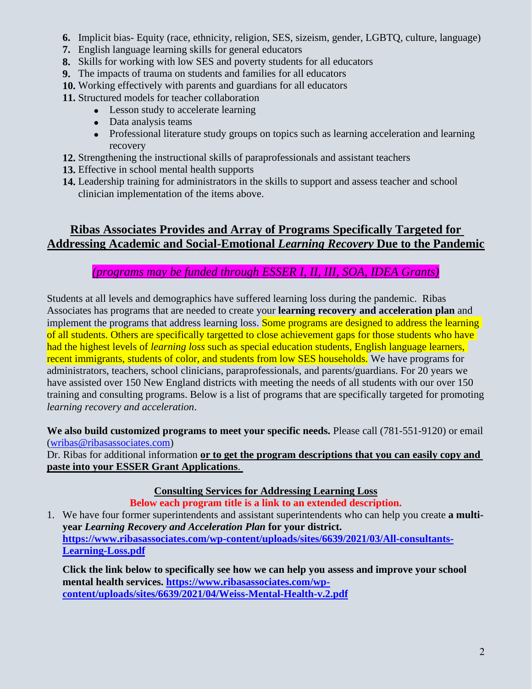- **6.** Implicit bias- Equity (race, ethnicity, religion, SES, sizeism, gender, LGBTQ, culture, language)
- **7.** English language learning skills for general educators
- **8.** Skills for working with low SES and poverty students for all educators
- **9.** The impacts of trauma on students and families for all educators
- **10.** Working effectively with parents and guardians for all educators

**11.** Structured models for teacher collaboration

- Lesson study to accelerate learning
- Data analysis teams
- Professional literature study groups on topics such as learning acceleration and learning recovery
- **12.** Strengthening the instructional skills of paraprofessionals and assistant teachers
- **13.** Effective in school mental health supports
- **14.** Leadership training for administrators in the skills to support and assess teacher and school clinician implementation of the items above.

## **Ribas Associates Provides and Array of Programs Specifically Targeted for Addressing Academic and Social-Emotional** *Learning Recovery* **Due to the Pandemic**

## *(programs may be funded through ESSER I, II, III, SOA, IDEA Grants)*

Students at all levels and demographics have suffered learning loss during the pandemic. Ribas Associates has programs that are needed to create your **learning recovery and acceleration plan** and implement the programs that address learning loss. Some programs are designed to address the learning of all students. Others are specifically targetted to close achievement gaps for those students who have had the highest levels of *learning loss* such as special education students, English language learners, recent immigrants, students of color, and students from low SES households. We have programs for administrators, teachers, school clinicians, paraprofessionals, and parents/guardians. For 20 years we have assisted over 150 New England districts with meeting the needs of all students with our over 150 training and consulting programs. Below is a list of programs that are specifically targeted for promoting *learning recovery and acceleration*.

We also build customized programs to meet your specific needs. Please call (781-551-9120) or email [\(wribas@ribasassociates.com\)](mailto:wribas@ribasassociates.com)

Dr. Ribas for additional information **or to get the program descriptions that you can easily copy and paste into your ESSER Grant Applications**.

**Consulting Services for Addressing Learning Loss**

**Below each program title is a link to an extended description.**

1. We have four former superintendents and assistant superintendents who can help you create **a multiyear** *Learning Recovery and Acceleration Plan* **for your district. [https://www.ribasassociates.com/wp-content/uploads/sites/6639/2021/03/All-consultants-](https://www.ribasassociates.com/wp-content/uploads/sites/6639/2021/03/All-consultants-Learning-Loss.pdf)[Learning-Loss.pdf](https://www.ribasassociates.com/wp-content/uploads/sites/6639/2021/03/All-consultants-Learning-Loss.pdf)**

**Click the link below to specifically see how we can help you assess and improve your school mental health services. [https://www.ribasassociates.com/wp](https://www.ribasassociates.com/wp-content/uploads/sites/6639/2021/04/Weiss-Mental-Health-v.2.pdf)[content/uploads/sites/6639/2021/04/Weiss-Mental-Health-v.2.pdf](https://www.ribasassociates.com/wp-content/uploads/sites/6639/2021/04/Weiss-Mental-Health-v.2.pdf)**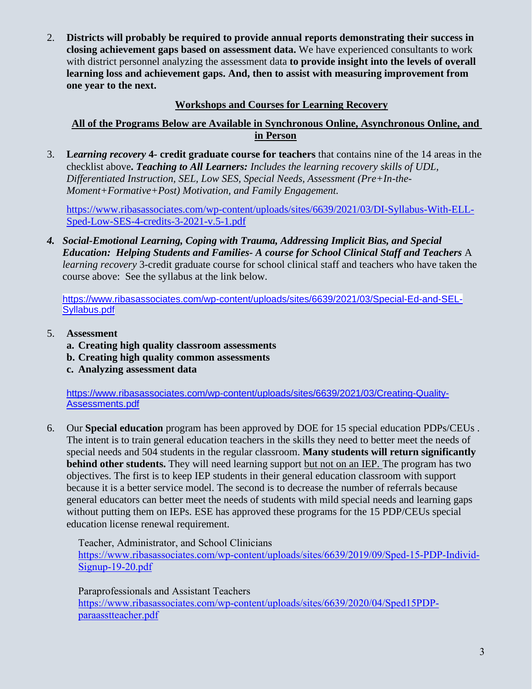2. **Districts will probably be required to provide annual reports demonstrating their success in closing achievement gaps based on assessment data.** We have experienced consultants to work with district personnel analyzing the assessment data **to provide insight into the levels of overall learning loss and achievement gaps. And, then to assist with measuring improvement from one year to the next.**

### **Workshops and Courses for Learning Recovery**

#### **All of the Programs Below are Available in Synchronous Online, Asynchronous Online, and in Person**

3. **L***earning recovery* **4- credit graduate course for teachers** that contains nine of the 14 areas in the checklist above**.** *Teaching to All Learners: Includes the learning recovery skills of UDL, Differentiated Instruction, SEL, Low SES, Special Needs, Assessment (Pre+In-the-Moment+Formative+Post) Motivation, and Family Engagement.*

[https://www.ribasassociates.com/wp-content/uploads/sites/6639/2021/03/DI-Syllabus-With-ELL-](https://www.ribasassociates.com/wp-content/uploads/sites/6639/2021/03/DI-Syllabus-With-ELL-Sped-Low-SES-4-credits-3-2021-v.5-1.pdf)[Sped-Low-SES-4-credits-3-2021-v.5-1.pdf](https://www.ribasassociates.com/wp-content/uploads/sites/6639/2021/03/DI-Syllabus-With-ELL-Sped-Low-SES-4-credits-3-2021-v.5-1.pdf)

*4. Social-Emotional Learning, Coping with Trauma, Addressing Implicit Bias, and Special Education: Helping Students and Families- A course for School Clinical Staff and Teachers* A *learning recovery* 3-credit graduate course for school clinical staff and teachers who have taken the course above: See the syllabus at the link below.

[https://www.ribasassociates.com/wp-content/uploads/sites/6639/2021/03/Special-Ed-and-SEL-](https://www.ribasassociates.com/wp-content/uploads/sites/6639/2021/03/Special-Ed-and-SEL-Syllabus.pdf)[Syllabus.pdf](https://www.ribasassociates.com/wp-content/uploads/sites/6639/2021/03/Special-Ed-and-SEL-Syllabus.pdf)

- 5. **Assessment**
	- **a. Creating high quality classroom assessments**
	- **b. Creating high quality common assessments**
	- **c. Analyzing assessment data**

[https://www.ribasassociates.com/wp-content/uploads/sites/6639/2021/03/Creating-Quality-](https://www.ribasassociates.com/wp-content/uploads/sites/6639/2021/03/Creating-Quality-Assessments.pdf)[Assessments.pdf](https://www.ribasassociates.com/wp-content/uploads/sites/6639/2021/03/Creating-Quality-Assessments.pdf)

6. Our **Special education** program has been approved by DOE for 15 special education PDPs/CEUs . The intent is to train general education teachers in the skills they need to better meet the needs of special needs and 504 students in the regular classroom. **Many students will return significantly behind other students.** They will need learning support but not on an IEP. The program has two objectives. The first is to keep IEP students in their general education classroom with support because it is a better service model. The second is to decrease the number of referrals because general educators can better meet the needs of students with mild special needs and learning gaps without putting them on IEPs. ESE has approved these programs for the 15 PDP/CEUs special education license renewal requirement.

Teacher, Administrator, and School Clinicians [https://www.ribasassociates.com/wp-content/uploads/sites/6639/2019/09/Sped-15-PDP-Individ-](https://www.ribasassociates.com/wp-content/uploads/sites/6639/2019/09/Sped-15-PDP-Individ-Signup-19-20.pdf)[Signup-19-20.pdf](https://www.ribasassociates.com/wp-content/uploads/sites/6639/2019/09/Sped-15-PDP-Individ-Signup-19-20.pdf)

Paraprofessionals and Assistant Teachers [https://www.ribasassociates.com/wp-content/uploads/sites/6639/2020/04/Sped15PDP](https://www.ribasassociates.com/wp-content/uploads/sites/6639/2020/04/Sped15PDP-paraasstteacher.pdf)[paraasstteacher.pdf](https://www.ribasassociates.com/wp-content/uploads/sites/6639/2020/04/Sped15PDP-paraasstteacher.pdf)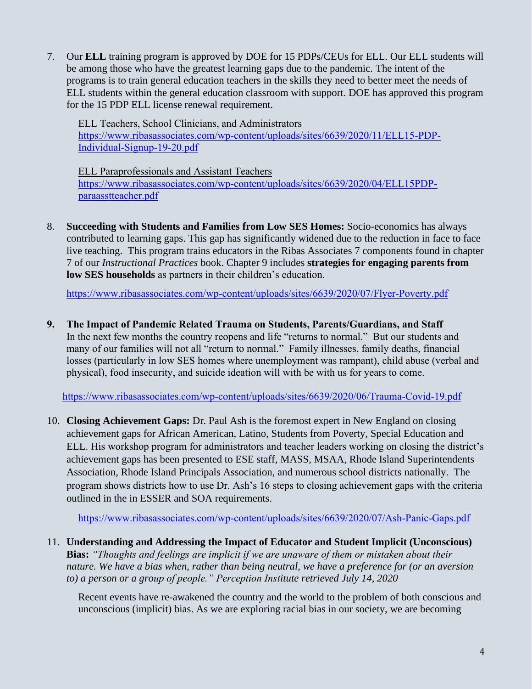7. Our **ELL** training program is approved by DOE for 15 PDPs/CEUs for ELL. Our ELL students will be among those who have the greatest learning gaps due to the pandemic. The intent of the programs is to train general education teachers in the skills they need to better meet the needs of ELL students within the general education classroom with support. DOE has approved this program for the 15 PDP ELL license renewal requirement.

ELL Teachers, School Clinicians, and Administrators [https://www.ribasassociates.com/wp-content/uploads/sites/6639/2020/11/ELL15-PDP-](https://www.ribasassociates.com/wp-content/uploads/sites/6639/2020/11/ELL15-PDP-Individual-Signup-19-20.pdf)[Individual-Signup-19-20.pdf](https://www.ribasassociates.com/wp-content/uploads/sites/6639/2020/11/ELL15-PDP-Individual-Signup-19-20.pdf)

ELL Paraprofessionals and Assistant Teachers [https://www.ribasassociates.com/wp-content/uploads/sites/6639/2020/04/ELL15PDP](https://www.ribasassociates.com/wp-content/uploads/sites/6639/2020/04/ELL15PDP-paraasstteacher.pdf)[paraasstteacher.pdf](https://www.ribasassociates.com/wp-content/uploads/sites/6639/2020/04/ELL15PDP-paraasstteacher.pdf)

8. **Succeeding with Students and Families from Low SES Homes:** Socio-economics has always contributed to learning gaps. This gap has significantly widened due to the reduction in face to face live teaching. This program trains educators in the Ribas Associates 7 components found in chapter 7 of our *Instructional Practices* book. Chapter 9 includes **strategies for engaging parents from low SES households** as partners in their children's education.

<https://www.ribasassociates.com/wp-content/uploads/sites/6639/2020/07/Flyer-Poverty.pdf>

**9. The Impact of Pandemic Related Trauma on Students, Parents/Guardians, and Staff** In the next few months the country reopens and life "returns to normal." But our students and many of our families will not all "return to normal." Family illnesses, family deaths, financial losses (particularly in low SES homes where unemployment was rampant), child abuse (verbal and physical), food insecurity, and suicide ideation will with be with us for years to come.

<https://www.ribasassociates.com/wp-content/uploads/sites/6639/2020/06/Trauma-Covid-19.pdf>

10. **Closing Achievement Gaps:** Dr. Paul Ash is the foremost expert in New England on closing achievement gaps for African American, Latino, Students from Poverty, Special Education and ELL. His workshop program for administrators and teacher leaders working on closing the district's achievement gaps has been presented to ESE staff, MASS, MSAA, Rhode Island Superintendents Association, Rhode Island Principals Association, and numerous school districts nationally. The program shows districts how to use Dr. Ash's 16 steps to closing achievement gaps with the criteria outlined in the in ESSER and SOA requirements.

<https://www.ribasassociates.com/wp-content/uploads/sites/6639/2020/07/Ash-Panic-Gaps.pdf>

11. **Understanding and Addressing the Impact of Educator and Student Implicit (Unconscious) Bias:** *"Thoughts and feelings are implicit if we are unaware of them or mistaken about their nature. We have a bias when, rather than being neutral, we have a preference for (or an aversion to) a person or a group of people." Perception Institute retrieved July 14, 2020*

Recent events have re-awakened the country and the world to the problem of both conscious and unconscious (implicit) bias. As we are exploring racial bias in our society, we are becoming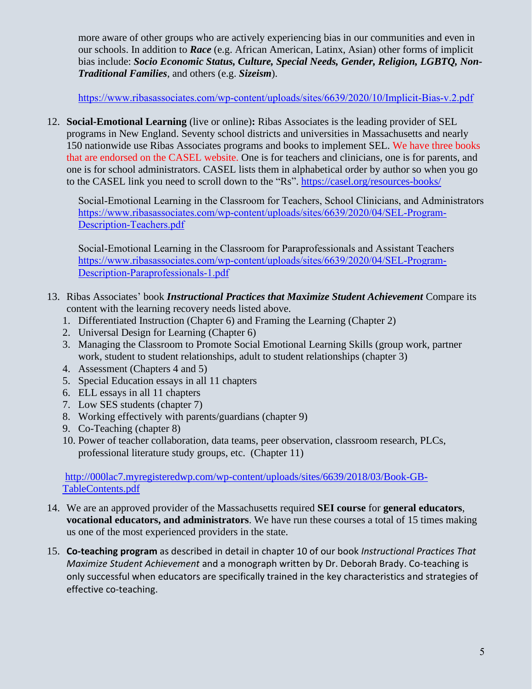more aware of other groups who are actively experiencing bias in our communities and even in our schools. In addition to *Race* (e.g. African American, Latinx, Asian) other forms of implicit bias include: *Socio Economic Status, Culture, Special Needs, Gender, Religion, LGBTQ, Non-Traditional Families*, and others (e.g. *Sizeism*).

<https://www.ribasassociates.com/wp-content/uploads/sites/6639/2020/10/Implicit-Bias-v.2.pdf>

12. **Social-Emotional Learning** (live or online)**:** Ribas Associates is the leading provider of SEL programs in New England. Seventy school districts and universities in Massachusetts and nearly 150 nationwide use Ribas Associates programs and books to implement SEL. We have three books that are endorsed on the CASEL website. One is for teachers and clinicians, one is for parents, and one is for school administrators. CASEL lists them in alphabetical order by author so when you go to the CASEL link you need to scroll down to the "Rs". <https://casel.org/resources-books/>

Social-Emotional Learning in the Classroom for Teachers, School Clinicians, and Administrators [https://www.ribasassociates.com/wp-content/uploads/sites/6639/2020/04/SEL-Program-](https://www.ribasassociates.com/wp-content/uploads/sites/6639/2020/04/SEL-Program-Description-Teachers.pdf)[Description-Teachers.pdf](https://www.ribasassociates.com/wp-content/uploads/sites/6639/2020/04/SEL-Program-Description-Teachers.pdf)

Social-Emotional Learning in the Classroom for Paraprofessionals and Assistant Teachers [https://www.ribasassociates.com/wp-content/uploads/sites/6639/2020/04/SEL-Program-](https://www.ribasassociates.com/wp-content/uploads/sites/6639/2020/04/SEL-Program-Description-Paraprofessionals-1.pdf)[Description-Paraprofessionals-1.pdf](https://www.ribasassociates.com/wp-content/uploads/sites/6639/2020/04/SEL-Program-Description-Paraprofessionals-1.pdf)

- 13. Ribas Associates' book *Instructional Practices that Maximize Student Achievement* Compare its content with the learning recovery needs listed above.
	- 1. Differentiated Instruction (Chapter 6) and Framing the Learning (Chapter 2)
	- 2. Universal Design for Learning (Chapter 6)
	- 3. Managing the Classroom to Promote Social Emotional Learning Skills (group work, partner work, student to student relationships, adult to student relationships (chapter 3)
	- 4. Assessment (Chapters 4 and 5)
	- 5. Special Education essays in all 11 chapters
	- 6. ELL essays in all 11 chapters
	- 7. Low SES students (chapter 7)
	- 8. Working effectively with parents/guardians (chapter 9)
	- 9. Co-Teaching (chapter 8)
	- 10. Power of teacher collaboration, data teams, peer observation, classroom research, PLCs, professional literature study groups, etc. (Chapter 11)

#### [http://000lac7.myregisteredwp.com/wp-content/uploads/sites/6639/2018/03/Book-GB-](http://000lac7.myregisteredwp.com/wp-content/uploads/sites/6639/2018/03/Book-GB-TableContents.pdf)[TableContents.pdf](http://000lac7.myregisteredwp.com/wp-content/uploads/sites/6639/2018/03/Book-GB-TableContents.pdf)

- 14. We are an approved provider of the Massachusetts required **SEI course** for **general educators**, **vocational educators, and administrators**. We have run these courses a total of 15 times making us one of the most experienced providers in the state.
- 15. **Co-teaching program** as described in detail in chapter 10 of our book *Instructional Practices That Maximize Student Achievement* and a monograph written by Dr. Deborah Brady. Co-teaching is only successful when educators are specifically trained in the key characteristics and strategies of effective co-teaching.